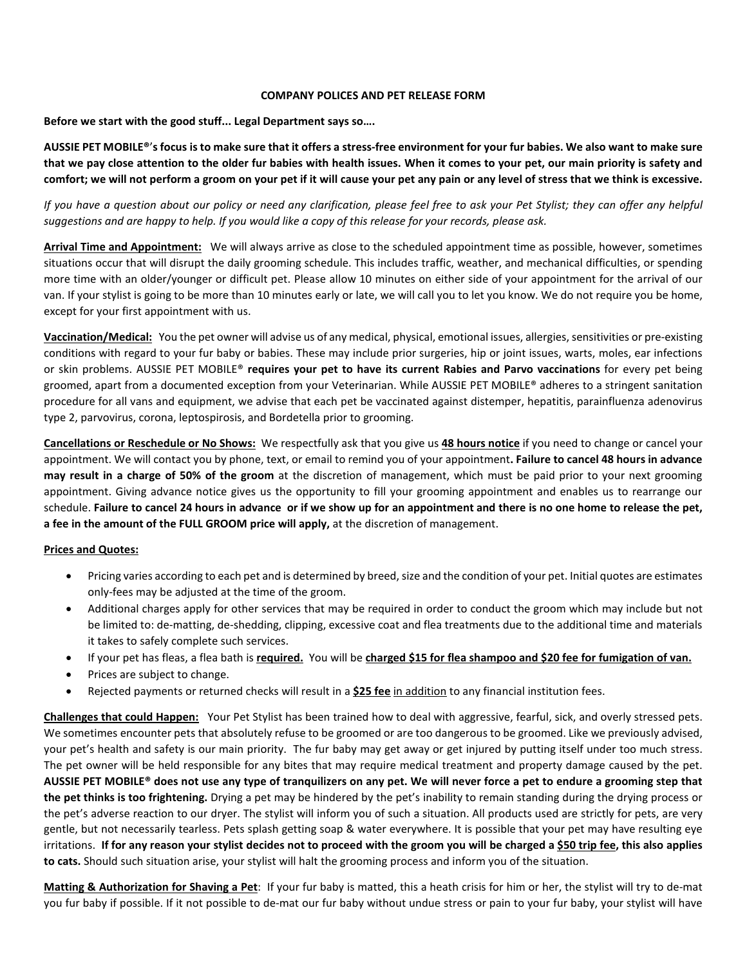### **COMPANY POLICES AND PET RELEASE FORM**

**Before we start with the good stuff... Legal Department says so….**

**AUSSIE PET MOBILE®**'**s focus is to make sure that it offers a stress-free environment for your fur babies. We also want to make sure that we pay close attention to the older fur babies with health issues. When it comes to your pet, our main priority is safety and comfort; we will not perform a groom on your pet if it will cause your pet any pain or any level of stress that we think is excessive.** 

*If you have a question about our policy or need any clarification, please feel free to ask your Pet Stylist; they can offer any helpful suggestions and are happy to help. If you would like a copy of this release for your records, please ask.*

**Arrival Time and Appointment:** We will always arrive as close to the scheduled appointment time as possible, however, sometimes situations occur that will disrupt the daily grooming schedule. This includes traffic, weather, and mechanical difficulties, or spending more time with an older/younger or difficult pet. Please allow 10 minutes on either side of your appointment for the arrival of our van. If your stylist is going to be more than 10 minutes early or late, we will call you to let you know. We do not require you be home, except for your first appointment with us.

**Vaccination/Medical:** You the pet owner will advise us of any medical, physical, emotional issues, allergies, sensitivities or pre-existing conditions with regard to your fur baby or babies. These may include prior surgeries, hip or joint issues, warts, moles, ear infections or skin problems. AUSSIE PET MOBILE® **requires your pet to have its current Rabies and Parvo vaccinations** for every pet being groomed, apart from a documented exception from your Veterinarian. While AUSSIE PET MOBILE® adheres to a stringent sanitation procedure for all vans and equipment, we advise that each pet be vaccinated against distemper, hepatitis, parainfluenza adenovirus type 2, parvovirus, corona, leptospirosis, and Bordetella prior to grooming.

**Cancellations or Reschedule or No Shows:** We respectfully ask that you give us **48 hours notice** if you need to change or cancel your appointment. We will contact you by phone, text, or email to remind you of your appointment**. Failure to cancel 48 hours in advance may result in a charge of 50% of the groom** at the discretion of management, which must be paid prior to your next grooming appointment. Giving advance notice gives us the opportunity to fill your grooming appointment and enables us to rearrange our schedule. **Failure to cancel 24 hours in advance or if we show up for an appointment and there is no one home to release the pet, a fee in the amount of the FULL GROOM price will apply,** at the discretion of management.

# **Prices and Quotes:**

- Pricing varies according to each pet and is determined by breed, size and the condition of your pet. Initial quotes are estimates only-fees may be adjusted at the time of the groom.
- Additional charges apply for other services that may be required in order to conduct the groom which may include but not be limited to: de-matting, de-shedding, clipping, excessive coat and flea treatments due to the additional time and materials it takes to safely complete such services.
- If your pet has fleas, a flea bath is **required.** You will be **charged \$15 for flea shampoo and \$20 fee for fumigation of van.**
- Prices are subject to change.
- Rejected payments or returned checks will result in a **\$25 fee** in addition to any financial institution fees.

**Challenges that could Happen:** Your Pet Stylist has been trained how to deal with aggressive, fearful, sick, and overly stressed pets. We sometimes encounter pets that absolutely refuse to be groomed or are too dangerous to be groomed. Like we previously advised, your pet's health and safety is our main priority. The fur baby may get away or get injured by putting itself under too much stress. The pet owner will be held responsible for any bites that may require medical treatment and property damage caused by the pet. **AUSSIE PET MOBILE® does not use any type of tranquilizers on any pet. We will never force a pet to endure a grooming step that the pet thinks is too frightening.** Drying a pet may be hindered by the pet's inability to remain standing during the drying process or the pet's adverse reaction to our dryer. The stylist will inform you of such a situation. All products used are strictly for pets, are very gentle, but not necessarily tearless. Pets splash getting soap & water everywhere. It is possible that your pet may have resulting eye irritations. **If for any reason your stylist decides not to proceed with the groom you will be charged a \$50 trip fee, this also applies to cats.** Should such situation arise, your stylist will halt the grooming process and inform you of the situation.

**Matting & Authorization for Shaving a Pet**: If your fur baby is matted, this a heath crisis for him or her, the stylist will try to de-mat you fur baby if possible. If it not possible to de-mat our fur baby without undue stress or pain to your fur baby, your stylist will have